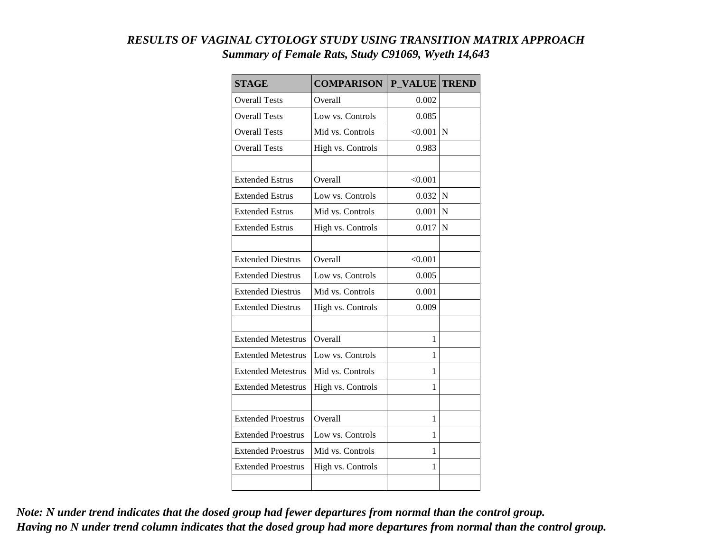| RESULTS OF VAGINAL CYTOLOGY STUDY USING TRANSITION MATRIX APPROACH |
|--------------------------------------------------------------------|
| Summary of Female Rats, Study C91069, Wyeth 14,643                 |

| <b>STAGE</b>              | <b>COMPARISON</b> | <b>P VALUE</b> | <b>TREND</b> |
|---------------------------|-------------------|----------------|--------------|
| <b>Overall Tests</b>      | Overall           | 0.002          |              |
| <b>Overall Tests</b>      | Low vs. Controls  | 0.085          |              |
| <b>Overall Tests</b>      | Mid vs. Controls  | < 0.001        | N            |
| <b>Overall Tests</b>      | High vs. Controls | 0.983          |              |
|                           |                   |                |              |
| <b>Extended Estrus</b>    | Overall           | < 0.001        |              |
| <b>Extended Estrus</b>    | Low vs. Controls  | 0.032          | $\mathbf N$  |
| <b>Extended Estrus</b>    | Mid vs. Controls  | 0.001          | N            |
| <b>Extended Estrus</b>    | High vs. Controls | 0.017          | N            |
|                           |                   |                |              |
| <b>Extended Diestrus</b>  | Overall           | < 0.001        |              |
| <b>Extended Diestrus</b>  | Low vs. Controls  | 0.005          |              |
| <b>Extended Diestrus</b>  | Mid vs. Controls  | 0.001          |              |
| <b>Extended Diestrus</b>  | High vs. Controls | 0.009          |              |
|                           |                   |                |              |
| <b>Extended Metestrus</b> | Overall           | 1              |              |
| <b>Extended Metestrus</b> | Low vs. Controls  | 1              |              |
| <b>Extended Metestrus</b> | Mid vs. Controls  | 1              |              |
| <b>Extended Metestrus</b> | High vs. Controls | 1              |              |
|                           |                   |                |              |
| <b>Extended Proestrus</b> | Overall           | 1              |              |
| <b>Extended Proestrus</b> | Low vs. Controls  | 1              |              |
| <b>Extended Proestrus</b> | Mid vs. Controls  | 1              |              |
| <b>Extended Proestrus</b> | High vs. Controls | 1              |              |
|                           |                   |                |              |

*Note: N under trend indicates that the dosed group had fewer departures from normal than the control group. Having no N under trend column indicates that the dosed group had more departures from normal than the control group.*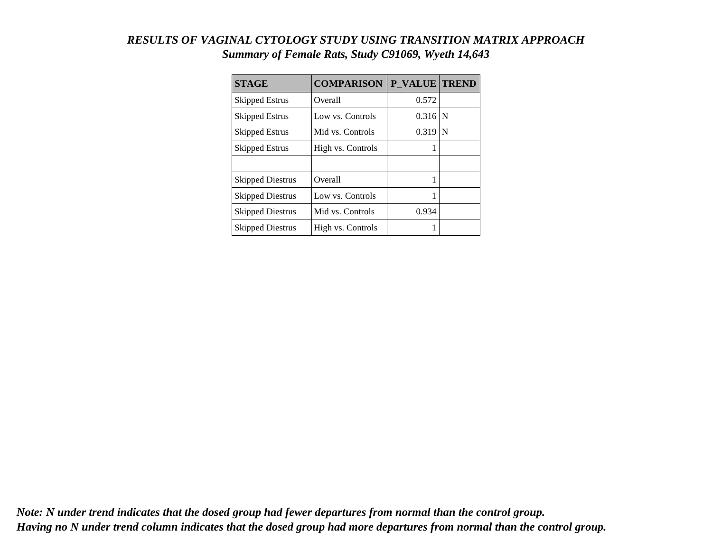## *RESULTS OF VAGINAL CYTOLOGY STUDY USING TRANSITION MATRIX APPROACH Summary of Female Rats, Study C91069, Wyeth 14,643*

| <b>STAGE</b>            | <b>COMPARISON</b> | P VALUE TREND |   |
|-------------------------|-------------------|---------------|---|
| <b>Skipped Estrus</b>   | Overall           | 0.572         |   |
| Skipped Estrus          | Low vs. Controls  | 0.316         | N |
| <b>Skipped Estrus</b>   | Mid vs. Controls  | 0.319         | N |
| <b>Skipped Estrus</b>   | High vs. Controls |               |   |
|                         |                   |               |   |
| <b>Skipped Diestrus</b> | <b>Overall</b>    |               |   |
| <b>Skipped Diestrus</b> | Low vs. Controls  |               |   |
| <b>Skipped Diestrus</b> | Mid vs. Controls  | 0.934         |   |
| <b>Skipped Diestrus</b> | High vs. Controls |               |   |

*Note: N under trend indicates that the dosed group had fewer departures from normal than the control group. Having no N under trend column indicates that the dosed group had more departures from normal than the control group.*